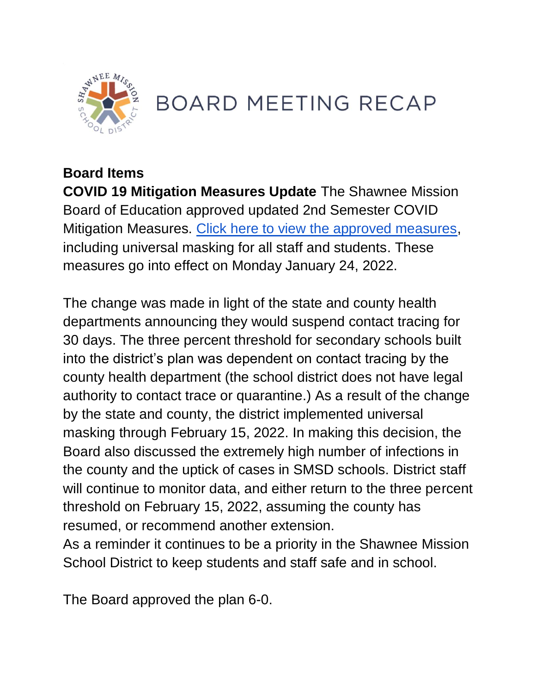

# **BOARD MEETING RECAP**

## **Board Items**

**COVID 19 Mitigation Measures Update** The Shawnee Mission Board of Education approved updated 2nd Semester COVID Mitigation Measures. [Click here to view the approved measures,](https://go.boarddocs.com/ks/smsd/Board.nsf/files/CAUT4U758F1C/$file/1.24.22%20%2021-22%20-%202nd%20Semester%20COVID%20%20Mitigation%20Plan.pdf) including universal masking for all staff and students. These measures go into effect on Monday January 24, 2022.

The change was made in light of the state and county health departments announcing they would suspend contact tracing for 30 days. The three percent threshold for secondary schools built into the district's plan was dependent on contact tracing by the county health department (the school district does not have legal authority to contact trace or quarantine.) As a result of the change by the state and county, the district implemented universal masking through February 15, 2022. In making this decision, the Board also discussed the extremely high number of infections in the county and the uptick of cases in SMSD schools. District staff will continue to monitor data, and either return to the three percent threshold on February 15, 2022, assuming the county has resumed, or recommend another extension.

As a reminder it continues to be a priority in the Shawnee Mission School District to keep students and staff safe and in school.

The Board approved the plan 6-0.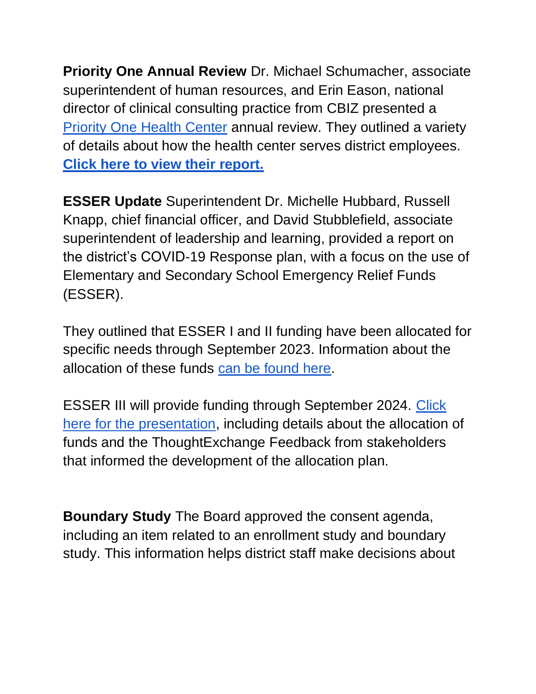**Priority One Annual Review** Dr. Michael Schumacher, associate superintendent of human resources, and Erin Eason, national director of clinical consulting practice from CBIZ presented a [Priority One Health Center](https://www.smsd.org/human-resources/staff-wellness/priorityone-health-center) annual review. They outlined a variety of details about how the health center serves district employees. **[Click here to view their report.](https://go.boarddocs.com/ks/smsd/Board.nsf/files/CAKJP64E17BA/$file/SMSD%20PriorityOne%20Health%20Center_Year%204%20Review_BOE.pdf)** 

**ESSER Update** Superintendent Dr. Michelle Hubbard, Russell Knapp, chief financial officer, and David Stubblefield, associate superintendent of leadership and learning, provided a report on the district's COVID-19 Response plan, with a focus on the use of Elementary and Secondary School Emergency Relief Funds (ESSER).

They outlined that ESSER I and II funding have been allocated for specific needs through September 2023. Information about the allocation of these funds [can be found here.](https://www.smsd.org/information-central/esser-funds)

ESSER III will provide funding through September 2024. [Click](https://go.boarddocs.com/ks/smsd/Board.nsf/files/CAT3C67AF0F8/$file/BOE%2001242022%20ESSER%20III.pdf)  [here for the presentation,](https://go.boarddocs.com/ks/smsd/Board.nsf/files/CAT3C67AF0F8/$file/BOE%2001242022%20ESSER%20III.pdf) including details about the allocation of funds and the ThoughtExchange Feedback from stakeholders that informed the development of the allocation plan.

**Boundary Study** The Board approved the consent agenda, including an item related to an enrollment study and boundary study. This information helps district staff make decisions about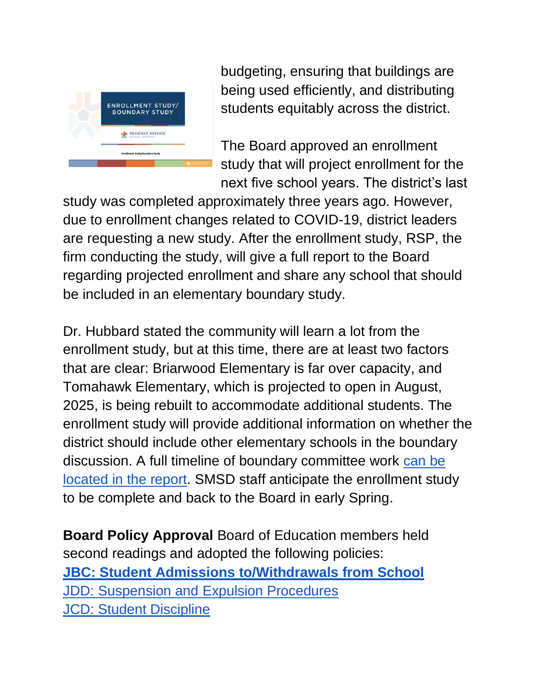

budgeting, ensuring that buildings are being used efficiently, and distributing students equitably across the district.

The Board approved an enrollment study that will project enrollment for the next five school years. The district's last

study was completed approximately three years ago. However, due to enrollment changes related to COVID-19, district leaders are requesting a new study. After the enrollment study, RSP, the firm conducting the study, will give a full report to the Board regarding projected enrollment and share any school that should be included in an elementary boundary study.

Dr. Hubbard stated the community will learn a lot from the enrollment study, but at this time, there are at least two factors that are clear: Briarwood Elementary is far over capacity, and Tomahawk Elementary, which is projected to open in August, 2025, is being rebuilt to accommodate additional students. The enrollment study will provide additional information on whether the district should include other elementary schools in the boundary discussion. A full timeline of boundary committee work can be [located in the report.](https://go.boarddocs.com/ks/smsd/Board.nsf/files/CASVSB81C613/$file/SMSD%20Boundary%20Proposal%20012022.pdf) SMSD staff anticipate the enrollment study to be complete and back to the Board in early Spring.

**Board Policy Approval** Board of Education members held second readings and adopted the following policies: **[JBC: Student Admissions to/Withdrawals from School](http://go.boarddocs.com/ks/smsd/Board.nsf/goto?open&id=CALKZD542C9F)** [JDD: Suspension and Expulsion Procedures](http://go.boarddocs.com/ks/smsd/Board.nsf/goto?open&id=CALKZF5435C5) [JCD: Student Discipline](http://go.boarddocs.com/ks/smsd/Board.nsf/goto?open&id=CALKZJ543C71)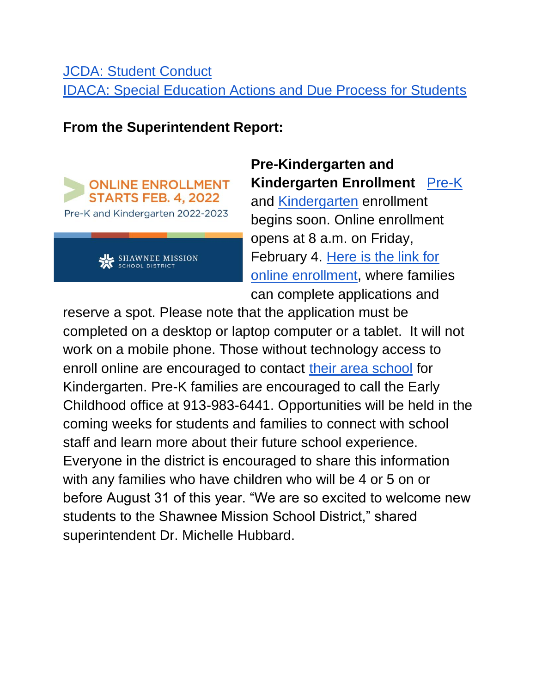### [JCDA: Student Conduct](http://go.boarddocs.com/ks/smsd/Board.nsf/goto?open&id=CALKZM54435B) [IDACA: Special Education Actions and Due Process for Students](http://go.boarddocs.com/ks/smsd/Board.nsf/goto?open&id=CALKZQ5449ED)

#### **From the Superintendent Report:**





# **Pre-Kindergarten and Kindergarten Enrollment** [Pre-K](https://www.smsd.org/academics/early-childhood/pre-kindergarten)

and [Kindergarten](https://www.smsd.org/academics/kindergarten) enrollment begins soon. Online enrollment opens at 8 a.m. on Friday, February 4. [Here is the link for](https://www.smsd.org/academics/kindergarten/kindergarten-kick-off)  [online enrollment,](https://www.smsd.org/academics/kindergarten/kindergarten-kick-off) where families can complete applications and

reserve a spot. Please note that the application must be completed on a desktop or laptop computer or a tablet. It will not work on a mobile phone. Those without technology access to enroll online are encouraged to contact [their area school](https://www.smsd.org/our-schools/elementary) for Kindergarten. Pre-K families are encouraged to call the Early Childhood office at 913-983-6441. Opportunities will be held in the coming weeks for students and families to connect with school staff and learn more about their future school experience. Everyone in the district is encouraged to share this information with any families who have children who will be 4 or 5 on or before August 31 of this year. "We are so excited to welcome new students to the Shawnee Mission School District," shared superintendent Dr. Michelle Hubbard.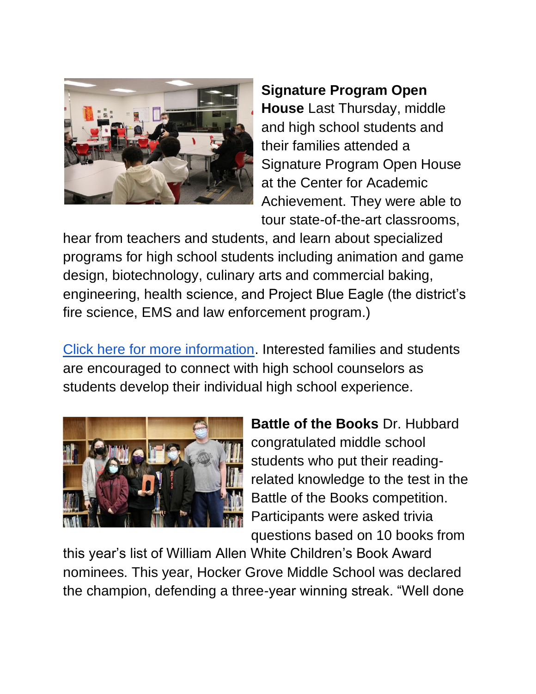

## **Signature Program Open House** Last Thursday, middle and high school students and their families attended a Signature Program Open House at the Center for Academic Achievement. They were able to tour state-of-the-art classrooms,

hear from teachers and students, and learn about specialized programs for high school students including animation and game design, biotechnology, culinary arts and commercial baking, engineering, health science, and Project Blue Eagle (the district's fire science, EMS and law enforcement program.)

[Click here for more information.](https://www.smsd.org/academics/signature-programs) Interested families and students are encouraged to connect with high school counselors as students develop their individual high school experience.



**Battle of the Books** Dr. Hubbard congratulated middle school students who put their readingrelated knowledge to the test in the Battle of the Books competition. Participants were asked trivia questions based on 10 books from

this year's list of William Allen White Children's Book Award nominees. This year, Hocker Grove Middle School was declared the champion, defending a three-year winning streak. "Well done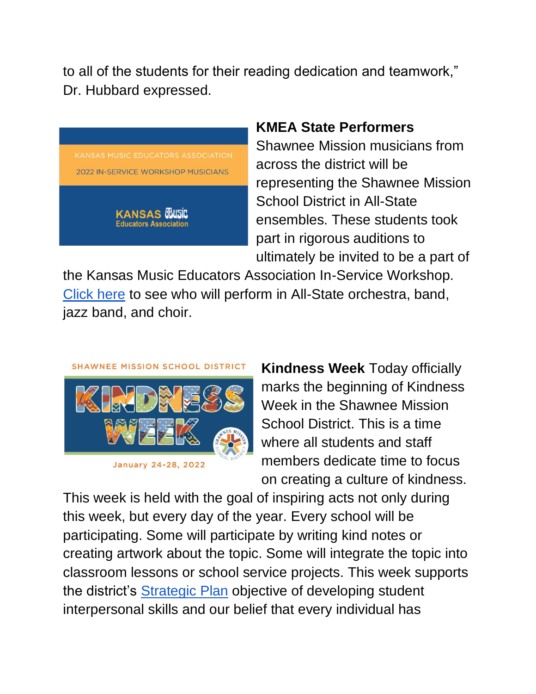to all of the students for their reading dedication and teamwork," Dr. Hubbard expressed.



#### **KMEA State Performers**

Shawnee Mission musicians from across the district will be representing the Shawnee Mission School District in All-State ensembles. These students took part in rigorous auditions to ultimately be invited to be a part of

the Kansas Music Educators Association In-Service Workshop. [Click here](https://www.smsd.org/about/news-archives/news-archive-details/~board/2021-2022-district-news/post/smsd-students-in-kmea-all-state-honor-groups) to see who will perform in All-State orchestra, band, jazz band, and choir.



**Kindness Week** Today officially marks the beginning of Kindness Week in the Shawnee Mission School District. This is a time where all students and staff members dedicate time to focus on creating a culture of kindness.

This week is held with the goal of inspiring acts not only during this week, but every day of the year. Every school will be participating. Some will participate by writing kind notes or creating artwork about the topic. Some will integrate the topic into classroom lessons or school service projects. This week supports the district's **Strategic Plan** objective of developing student interpersonal skills and our belief that every individual has